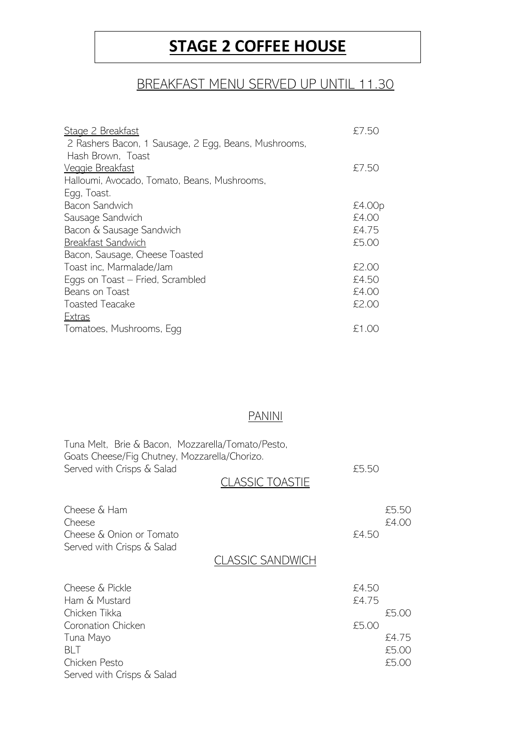## **STAGE 2 COFFEE HOUSE**

## BREAKFAST MENU SERVED UP UNTIL 11.30

| Stage 2 Breakfast                                    | £7.50  |
|------------------------------------------------------|--------|
| 2 Rashers Bacon, 1 Sausage, 2 Egg, Beans, Mushrooms, |        |
| Hash Brown, Toast                                    |        |
| Veggie Breakfast                                     | £7.50  |
| Halloumi, Avocado, Tomato, Beans, Mushrooms,         |        |
| Egg, Toast.                                          |        |
| Bacon Sandwich                                       | £4.00p |
| Sausage Sandwich                                     | £4.00  |
| Bacon & Sausage Sandwich                             | £4.75  |
| Breakfast Sandwich                                   | £5.00  |
| Bacon, Sausage, Cheese Toasted                       |        |
| Toast inc, Marmalade/Jam                             | £2.00  |
| Eggs on Toast – Fried, Scrambled                     | £4.50  |
| Beans on Toast                                       | £4.00  |
| Toasted Teacake                                      | £2.00  |
| <b>Extras</b>                                        |        |
| Tomatoes, Mushrooms, Egg                             | £1.00  |

## PANINI

| Tuna Melt, Brie & Bacon, Mozzarella/Tomato/Pesto,<br>Goats Cheese/Fig Chutney, Mozzarella/Chorizo.<br>Served with Crisps & Salad | £5.50<br>LASSIC TOASTIE |                         |
|----------------------------------------------------------------------------------------------------------------------------------|-------------------------|-------------------------|
| Cheese & Ham<br>Cheese<br>Cheese & Onion or Tomato<br>Served with Crisps & Salad                                                 | £4.50                   | £5.50<br>£4.00          |
|                                                                                                                                  | CLASSIC SANDWICH        |                         |
| Cheese & Pickle<br>Ham & Mustard<br>Chicken Tikka                                                                                | £4.50<br>£4.75          | £5.00                   |
| Coronation Chicken                                                                                                               | £5.00                   |                         |
| Tuna Mayo<br>BLT<br>Chicken Pesto<br>Served with Crisps & Salad                                                                  |                         | £4.75<br>£5.00<br>£5.00 |